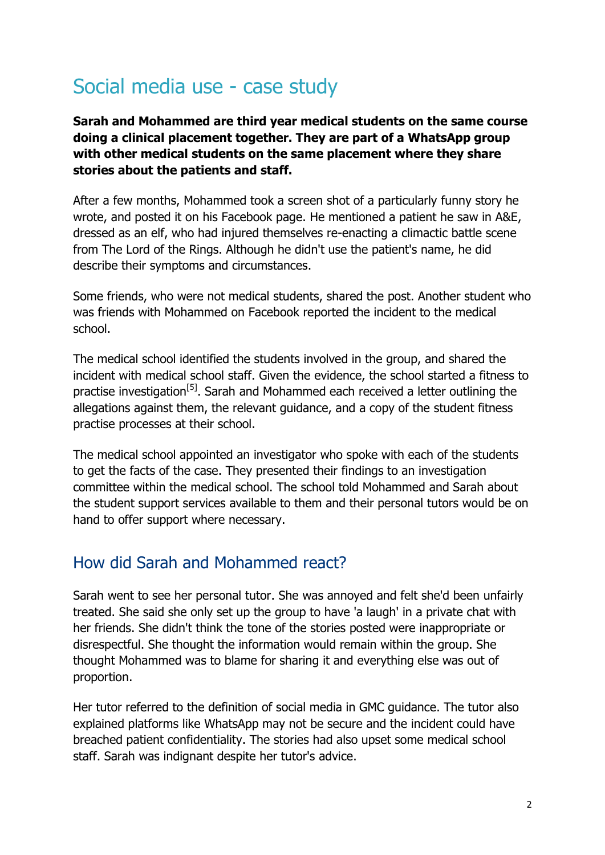# Social media use - case study

**Sarah and Mohammed are third year medical students on the same course doing a clinical placement together. They are part of a WhatsApp group with other medical students on the same placement where they share stories about the patients and staff.**

After a few months, Mohammed took a screen shot of a particularly funny story he wrote, and posted it on his Facebook page. He mentioned a patient he saw in A&E, dressed as an elf, who had injured themselves re-enacting a climactic battle scene from The Lord of the Rings. Although he didn't use the patient's name, he did describe their symptoms and circumstances.

Some friends, who were not medical students, shared the post. Another student who was friends with Mohammed on Facebook reported the incident to the medical school.

The medical school identified the students involved in the group, and shared the incident with medical school staff. Given the evidence, the school started a fitness to practise investigation<sup>[5]</sup>. Sarah and Mohammed each received a letter outlining the allegations against them, the relevant guidance, and a copy of the student fitness practise processes at their school.

The medical school appointed an investigator who spoke with each of the students to get the facts of the case. They presented their findings to an investigation committee within the medical school. The school told Mohammed and Sarah about the student support services available to them and their personal tutors would be on hand to offer support where necessary.

### How did Sarah and Mohammed react?

Sarah went to see her personal tutor. She was annoyed and felt she'd been unfairly treated. She said she only set up the group to have 'a laugh' in a private chat with her friends. She didn't think the tone of the stories posted were inappropriate or disrespectful. She thought the information would remain within the group. She thought Mohammed was to blame for sharing it and everything else was out of proportion.

Her tutor referred to the definition of social media in GMC guidance. The tutor also explained platforms like WhatsApp may not be secure and the incident could have breached patient confidentiality. The stories had also upset some medical school staff. Sarah was indignant despite her tutor's advice.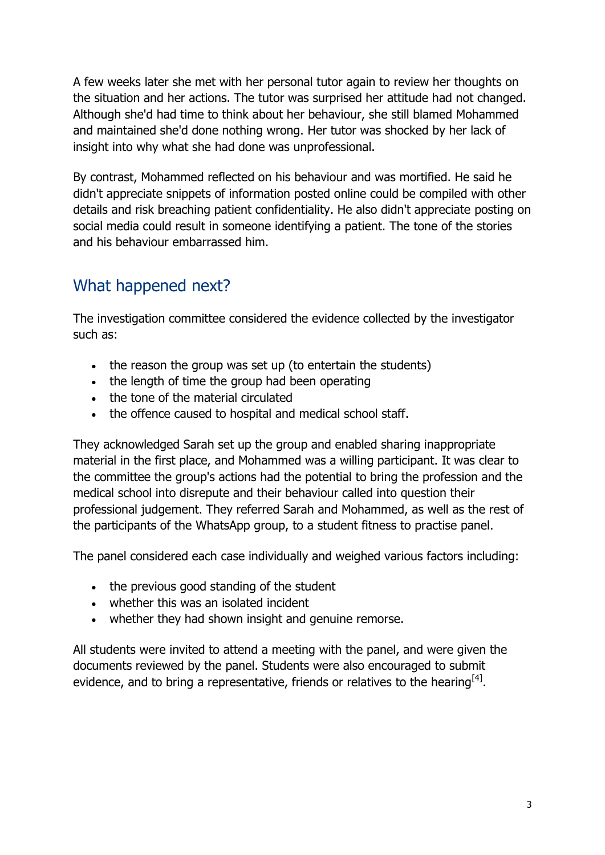A few weeks later she met with her personal tutor again to review her thoughts on the situation and her actions. The tutor was surprised her attitude had not changed. Although she'd had time to think about her behaviour, she still blamed Mohammed and maintained she'd done nothing wrong. Her tutor was shocked by her lack of insight into why what she had done was unprofessional.

By contrast, Mohammed reflected on his behaviour and was mortified. He said he didn't appreciate snippets of information posted online could be compiled with other details and risk breaching patient confidentiality. He also didn't appreciate posting on social media could result in someone identifying a patient. The tone of the stories and his behaviour embarrassed him.

# What happened next?

The investigation committee considered the evidence collected by the investigator such as:

- the reason the group was set up (to entertain the students)
- the length of time the group had been operating
- the tone of the material circulated
- the offence caused to hospital and medical school staff.

They acknowledged Sarah set up the group and enabled sharing inappropriate material in the first place, and Mohammed was a willing participant. It was clear to the committee the group's actions had the potential to bring the profession and the medical school into disrepute and their behaviour called into question their professional judgement. They referred Sarah and Mohammed, as well as the rest of the participants of the WhatsApp group, to a student fitness to practise panel.

The panel considered each case individually and weighed various factors including:

- the previous good standing of the student
- whether this was an isolated incident
- whether they had shown insight and genuine remorse.

All students were invited to attend a meeting with the panel, and were given the documents reviewed by the panel. Students were also encouraged to submit evidence, and to bring a representative, friends or relatives to the hearing<sup>[4]</sup>.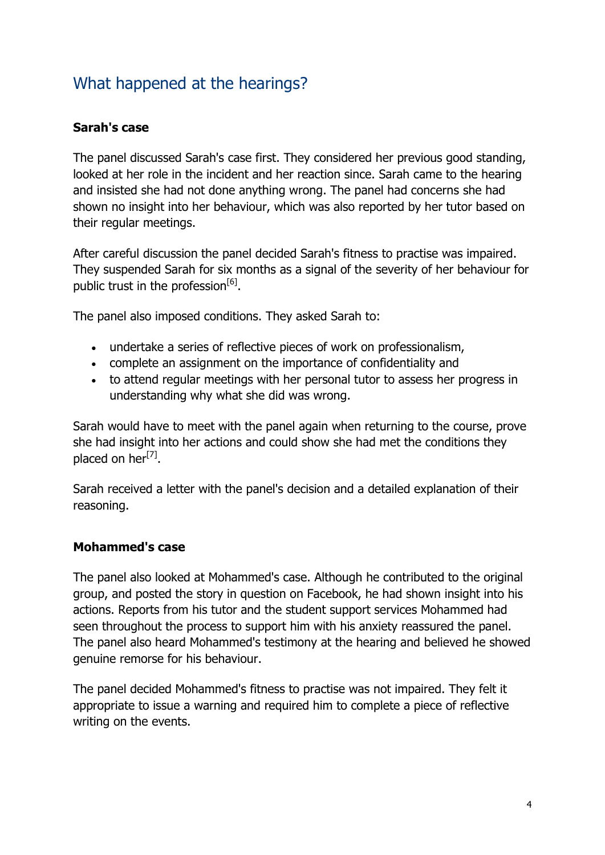## What happened at the hearings?

### **Sarah's case**

The panel discussed Sarah's case first. They considered her previous good standing, looked at her role in the incident and her reaction since. Sarah came to the hearing and insisted she had not done anything wrong. The panel had concerns she had shown no insight into her behaviour, which was also reported by her tutor based on their regular meetings.

After careful discussion the panel decided Sarah's fitness to practise was impaired. They suspended Sarah for six months as a signal of the severity of her behaviour for public trust in the profession<sup>[6]</sup>.

The panel also imposed conditions. They asked Sarah to:

- undertake a series of reflective pieces of work on professionalism,
- complete an assignment on the importance of confidentiality and
- to attend regular meetings with her personal tutor to assess her progress in understanding why what she did was wrong.

Sarah would have to meet with the panel again when returning to the course, prove she had insight into her actions and could show she had met the conditions they placed on her<sup>[7]</sup>.

Sarah received a letter with the panel's decision and a detailed explanation of their reasoning.

#### **Mohammed's case**

The panel also looked at Mohammed's case. Although he contributed to the original group, and posted the story in question on Facebook, he had shown insight into his actions. Reports from his tutor and the student support services Mohammed had seen throughout the process to support him with his anxiety reassured the panel. The panel also heard Mohammed's testimony at the hearing and believed he showed genuine remorse for his behaviour.

The panel decided Mohammed's fitness to practise was not impaired. They felt it appropriate to issue a warning and required him to complete a piece of reflective writing on the events.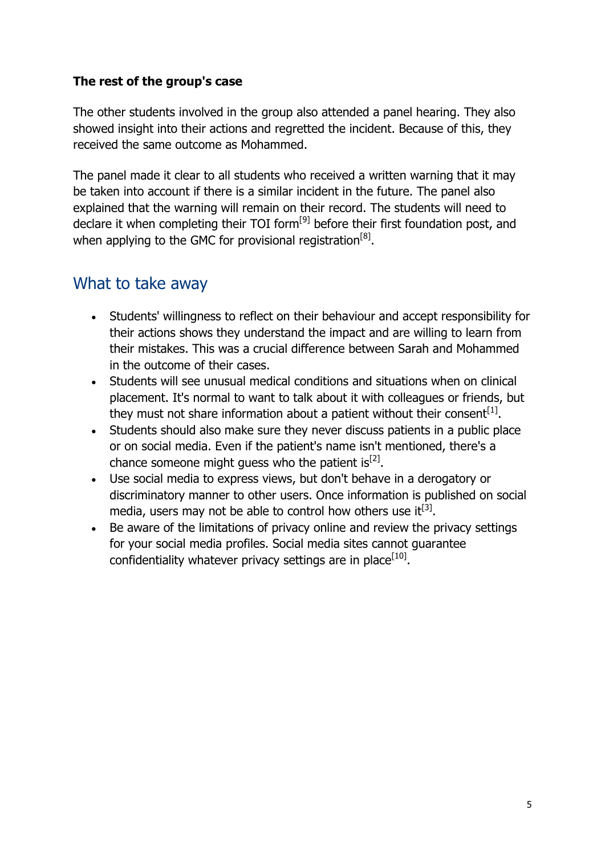#### **The rest of the group's case**

The other students involved in the group also attended a panel hearing. They also showed insight into their actions and regretted the incident. Because of this, they received the same outcome as Mohammed.

The panel made it clear to all students who received a written warning that it may be taken into account if there is a similar incident in the future. The panel also explained that the warning will remain on their record. The students will need to declare it when completing their TOI form<sup>[9]</sup> before their first foundation post, and when applying to the GMC for provisional registration<sup>[8]</sup>.

### What to take away

- Students' willingness to reflect on their behaviour and accept responsibility for their actions shows they understand the impact and are willing to learn from their mistakes. This was a crucial difference between Sarah and Mohammed in the outcome of their cases.
- Students will see unusual medical conditions and situations when on clinical placement. It's normal to want to talk about it with colleagues or friends, but they must not share information about a patient without their consent<sup>[1]</sup>.
- Students should also make sure they never discuss patients in a public place or on social media. Even if the patient's name isn't mentioned, there's a chance someone might guess who the patient is  $[2]$ .
- Use social media to express views, but don't behave in a derogatory or discriminatory manner to other users. Once information is published on social media, users may not be able to control how others use it  $[3]$ .
- Be aware of the limitations of privacy online and review the privacy settings for your social media profiles. Social media sites cannot guarantee confidentiality whatever privacy settings are in place<sup>[10]</sup>.